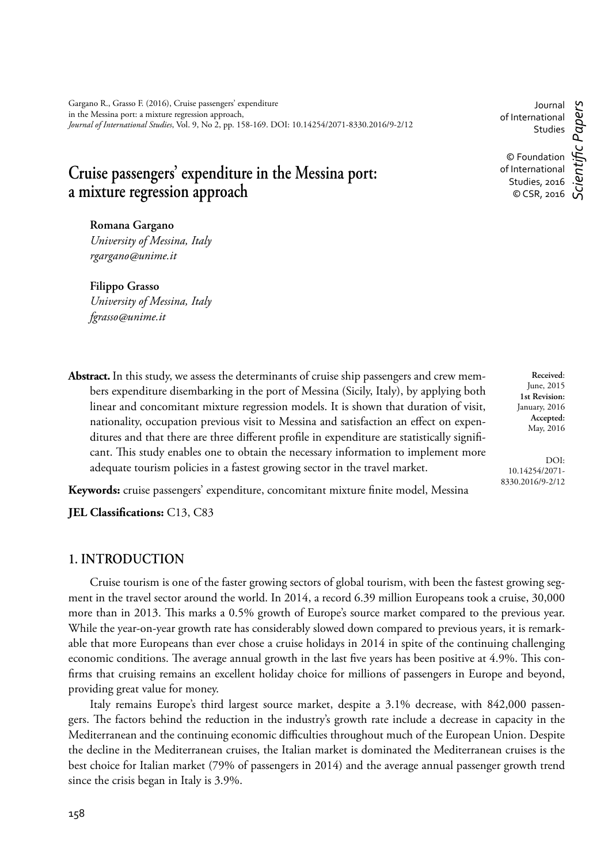# **Cruise passengers' expenditure in the Messina port: a mixture regression approach**

**Romana Gargano** *University of Messina, Italy rgargano@unime.it*

**Filippo Grasso** *University of Messina, Italy fgrasso@unime.it* 

**Abstract.** In this study, we assess the determinants of cruise ship passengers and crew members expenditure disembarking in the port of Messina (Sicily, Italy), by applying both linear and concomitant mixture regression models. It is shown that duration of visit, nationality, occupation previous visit to Messina and satisfaction an effect on expenditures and that there are three different profile in expenditure are statistically significant. This study enables one to obtain the necessary information to implement more adequate tourism policies in a fastest growing sector in the travel market.

Keywords: cruise passengers' expenditure, concomitant mixture finite model, Messina

**JEL Classifications:** C13, C83

## **1. INTRODUCTION**

Cruise tourism is one of the faster growing sectors of global tourism, with been the fastest growing segment in the travel sector around the world. In 2014, a record 6.39 million Europeans took a cruise, 30,000 more than in 2013. This marks a 0.5% growth of Europe's source market compared to the previous year. While the year-on-year growth rate has considerably slowed down compared to previous years, it is remarkable that more Europeans than ever chose a cruise holidays in 2014 in spite of the continuing challenging economic conditions. The average annual growth in the last five years has been positive at 4.9%. This confirms that cruising remains an excellent holiday choice for millions of passengers in Europe and beyond, providing great value for money.

Italy remains Europe's third largest source market, despite a 3.1% decrease, with 842,000 passengers. The factors behind the reduction in the industry's growth rate include a decrease in capacity in the Mediterranean and the continuing economic difficulties throughout much of the European Union. Despite the decline in the Mediterranean cruises, the Italian market is dominated the Mediterranean cruises is the best choice for Italian market (79% of passengers in 2014) and the average annual passenger growth trend since the crisis began in Italy is 3.9%.

**Received**: June, 2015 **1st Revision:** January, 2016 **Accepted:** May, 2016

DOI: 10.14254/2071- 8330.2016/9-2/12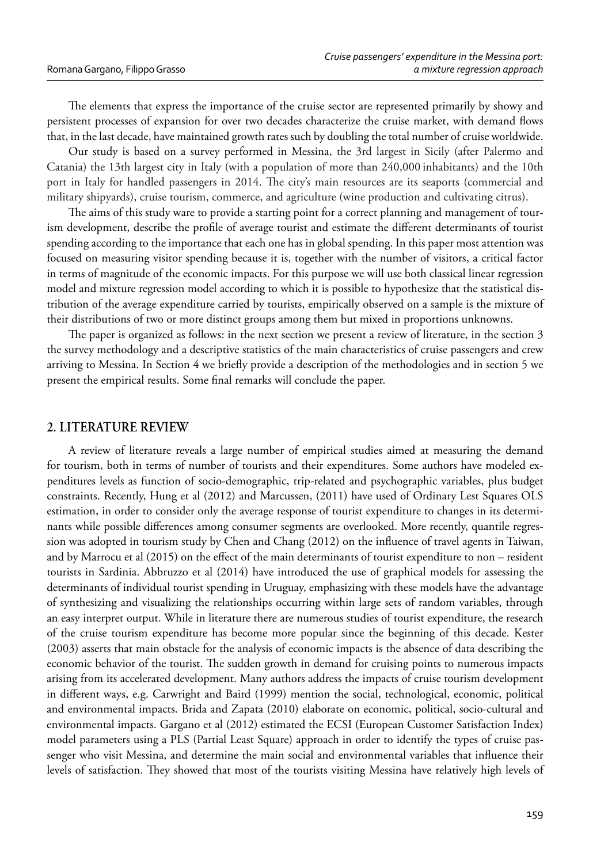The elements that express the importance of the cruise sector are represented primarily by showy and persistent processes of expansion for over two decades characterize the cruise market, with demand flows that, in the last decade, have maintained growth rates such by doubling the total number of cruise worldwide.

Our study is based on a survey performed in Messina, the 3rd largest in Sicily (after Palermo and Catania) the 13th largest city in Italy (with a population of more than 240,000 inhabitants) and the 10th port in Italy for handled passengers in 2014. The city's main resources are its seaports (commercial and military shipyards), cruise tourism, commerce, and agriculture (wine production and cultivating citrus).

The aims of this study ware to provide a starting point for a correct planning and management of tourism development, describe the profile of average tourist and estimate the different determinants of tourist spending according to the importance that each one has in global spending. In this paper most attention was focused on measuring visitor spending because it is, together with the number of visitors, a critical factor in terms of magnitude of the economic impacts. For this purpose we will use both classical linear regression model and mixture regression model according to which it is possible to hypothesize that the statistical distribution of the average expenditure carried by tourists, empirically observed on a sample is the mixture of their distributions of two or more distinct groups among them but mixed in proportions unknowns.

The paper is organized as follows: in the next section we present a review of literature, in the section 3 the survey methodology and a descriptive statistics of the main characteristics of cruise passengers and crew arriving to Messina. In Section 4 we briefly provide a description of the methodologies and in section 5 we present the empirical results. Some final remarks will conclude the paper.

#### **2. LITERATURE REVIEW**

A review of literature reveals a large number of empirical studies aimed at measuring the demand for tourism, both in terms of number of tourists and their expenditures. Some authors have modeled expenditures levels as function of socio-demographic, trip-related and psychographic variables, plus budget constraints. Recently, Hung et al (2012) and Marcussen, (2011) have used of Ordinary Lest Squares OLS estimation, in order to consider only the average response of tourist expenditure to changes in its determinants while possible differences among consumer segments are overlooked. More recently, quantile regression was adopted in tourism study by Chen and Chang (2012) on the influence of travel agents in Taiwan, and by Marrocu et al  $(2015)$  on the effect of the main determinants of tourist expenditure to non – resident tourists in Sardinia. Abbruzzo et al (2014) have introduced the use of graphical models for assessing the determinants of individual tourist spending in Uruguay, emphasizing with these models have the advantage of synthesizing and visualizing the relationships occurring within large sets of random variables, through an easy interpret output. While in literature there are numerous studies of tourist expenditure, the research of the cruise tourism expenditure has become more popular since the beginning of this decade. Kester (2003) asserts that main obstacle for the analysis of economic impacts is the absence of data describing the economic behavior of the tourist. The sudden growth in demand for cruising points to numerous impacts arising from its accelerated development. Many authors address the impacts of cruise tourism development in different ways, e.g. Carwright and Baird (1999) mention the social, technological, economic, political and environmental impacts. Brida and Zapata (2010) elaborate on economic, political, socio-cultural and environmental impacts. Gargano et al (2012) estimated the ECSI (European Customer Satisfaction Index) model parameters using a PLS (Partial Least Square) approach in order to identify the types of cruise passenger who visit Messina, and determine the main social and environmental variables that influence their levels of satisfaction. They showed that most of the tourists visiting Messina have relatively high levels of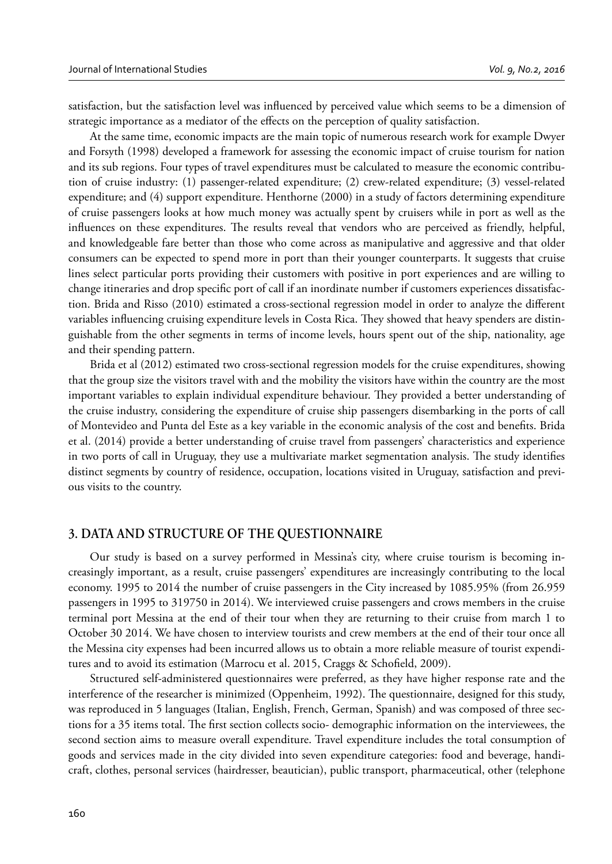satisfaction, but the satisfaction level was influenced by perceived value which seems to be a dimension of strategic importance as a mediator of the effects on the perception of quality satisfaction.

At the same time, economic impacts are the main topic of numerous research work for example Dwyer and Forsyth (1998) developed a framework for assessing the economic impact of cruise tourism for nation and its sub regions. Four types of travel expenditures must be calculated to measure the economic contribution of cruise industry: (1) passenger-related expenditure; (2) crew-related expenditure; (3) vessel-related expenditure; and (4) support expenditure. Henthorne (2000) in a study of factors determining expenditure of cruise passengers looks at how much money was actually spent by cruisers while in port as well as the influences on these expenditures. The results reveal that vendors who are perceived as friendly, helpful, and knowledgeable fare better than those who come across as manipulative and aggressive and that older consumers can be expected to spend more in port than their younger counterparts. It suggests that cruise lines select particular ports providing their customers with positive in port experiences and are willing to change itineraries and drop specific port of call if an inordinate number if customers experiences dissatisfaction. Brida and Risso (2010) estimated a cross-sectional regression model in order to analyze the different variables influencing cruising expenditure levels in Costa Rica. They showed that heavy spenders are distinguishable from the other segments in terms of income levels, hours spent out of the ship, nationality, age and their spending pattern.

Brida et al (2012) estimated two cross-sectional regression models for the cruise expenditures, showing that the group size the visitors travel with and the mobility the visitors have within the country are the most important variables to explain individual expenditure behaviour. They provided a better understanding of the cruise industry, considering the expenditure of cruise ship passengers disembarking in the ports of call of Montevideo and Punta del Este as a key variable in the economic analysis of the cost and benefits. Brida et al. (2014) provide a better understanding of cruise travel from passengers' characteristics and experience in two ports of call in Uruguay, they use a multivariate market segmentation analysis. The study identifies distinct segments by country of residence, occupation, locations visited in Uruguay, satisfaction and previous visits to the country.

### **3. DATA AND STRUCTURE OF THE QUESTIONNAIRE**

Our study is based on a survey performed in Messina's city, where cruise tourism is becoming increasingly important, as a result, cruise passengers' expenditures are increasingly contributing to the local economy. 1995 to 2014 the number of cruise passengers in the City increased by 1085.95% (from 26.959 passengers in 1995 to 319750 in 2014). We interviewed cruise passengers and crows members in the cruise terminal port Messina at the end of their tour when they are returning to their cruise from march 1 to October 30 2014. We have chosen to interview tourists and crew members at the end of their tour once all the Messina city expenses had been incurred allows us to obtain a more reliable measure of tourist expenditures and to avoid its estimation (Marrocu et al. 2015, Craggs & Schofield, 2009).

Structured self-administered questionnaires were preferred, as they have higher response rate and the interference of the researcher is minimized (Oppenheim, 1992). The questionnaire, designed for this study, was reproduced in 5 languages (Italian, English, French, German, Spanish) and was composed of three sections for a 35 items total. The first section collects socio- demographic information on the interviewees, the second section aims to measure overall expenditure. Travel expenditure includes the total consumption of goods and services made in the city divided into seven expenditure categories: food and beverage, handicraft, clothes, personal services (hairdresser, beautician), public transport, pharmaceutical, other (telephone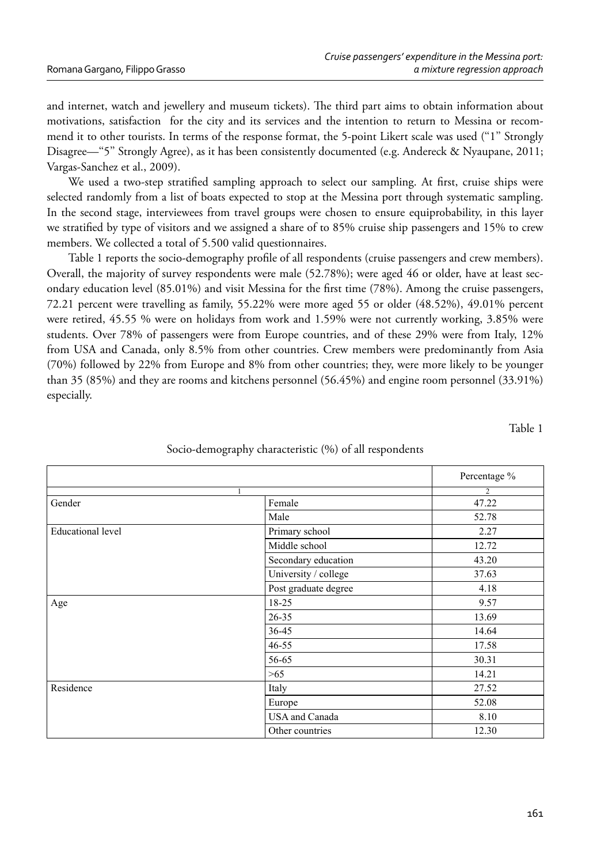and internet, watch and jewellery and museum tickets). The third part aims to obtain information about motivations, satisfaction for the city and its services and the intention to return to Messina or recommend it to other tourists. In terms of the response format, the 5-point Likert scale was used (''1'' Strongly Disagree—''5'' Strongly Agree), as it has been consistently documented (e.g. Andereck & Nyaupane, 2011; Vargas-Sanchez et al., 2009).

We used a two-step stratified sampling approach to select our sampling. At first, cruise ships were selected randomly from a list of boats expected to stop at the Messina port through systematic sampling. In the second stage, interviewees from travel groups were chosen to ensure equiprobability, in this layer we stratified by type of visitors and we assigned a share of to 85% cruise ship passengers and 15% to crew members. We collected a total of 5.500 valid questionnaires.

Table 1 reports the socio-demography profile of all respondents (cruise passengers and crew members). Overall, the majority of survey respondents were male (52.78%); were aged 46 or older, have at least secondary education level  $(85.01\%)$  and visit Messina for the first time  $(78\%)$ . Among the cruise passengers, 72.21 percent were travelling as family, 55.22% were more aged 55 or older (48.52%), 49.01% percent were retired, 45.55 % were on holidays from work and 1.59% were not currently working, 3.85% were students. Over 78% of passengers were from Europe countries, and of these 29% were from Italy, 12% from USA and Canada, only 8.5% from other countries. Crew members were predominantly from Asia (70%) followed by 22% from Europe and 8% from other countries; they, were more likely to be younger than 35 (85%) and they are rooms and kitchens personnel (56.45%) and engine room personnel (33.91%) especially.

Table 1

|                          |                      | Percentage %   |
|--------------------------|----------------------|----------------|
|                          |                      | $\overline{c}$ |
| Gender                   | Female               | 47.22          |
|                          | Male                 | 52.78          |
| <b>Educational</b> level | Primary school       | 2.27           |
|                          | Middle school        | 12.72          |
|                          | Secondary education  | 43.20          |
|                          | University / college | 37.63          |
|                          | Post graduate degree | 4.18           |
| Age                      | 18-25                | 9.57           |
|                          | $26 - 35$            | 13.69          |
|                          | 36-45                | 14.64          |
|                          | $46 - 55$            | 17.58          |
|                          | 56-65                | 30.31          |
|                          | >65                  | 14.21          |
| Residence                | Italy                | 27.52          |
|                          | Europe               | 52.08          |
|                          | USA and Canada       | 8.10           |
|                          | Other countries      | 12.30          |

## Socio-demography characteristic (%) of all respondents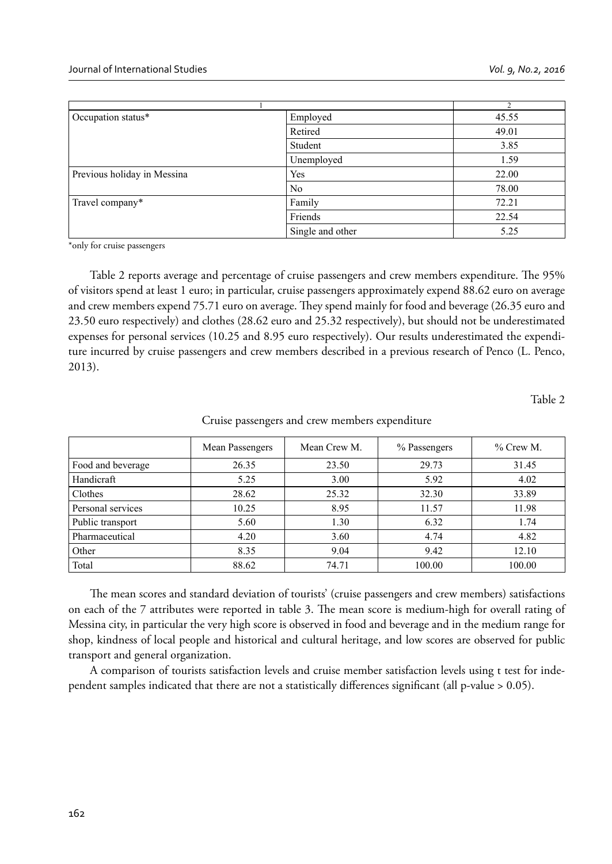|                             | $\sim$           |       |
|-----------------------------|------------------|-------|
| Occupation status*          | Employed         | 45.55 |
|                             | Retired          | 49.01 |
|                             | Student          | 3.85  |
|                             | Unemployed       | 1.59  |
| Previous holiday in Messina | Yes              | 22.00 |
|                             | N <sub>0</sub>   | 78.00 |
| Travel company*             | Family           | 72.21 |
|                             | Friends          | 22.54 |
|                             | Single and other | 5.25  |

\*only for cruise passengers

Table 2 reports average and percentage of cruise passengers and crew members expenditure. The 95% of visitors spend at least 1 euro; in particular, cruise passengers approximately expend 88.62 euro on average and crew members expend 75.71 euro on average. They spend mainly for food and beverage (26.35 euro and 23.50 euro respectively) and clothes (28.62 euro and 25.32 respectively), but should not be underestimated expenses for personal services (10.25 and 8.95 euro respectively). Our results underestimated the expenditure incurred by cruise passengers and crew members described in a previous research of Penco (L. Penco, 2013).

Table 2

|                   | Mean Passengers | Mean Crew M. | % Passengers | $%$ Crew M. |
|-------------------|-----------------|--------------|--------------|-------------|
| Food and beverage | 26.35           | 23.50        | 29.73        | 31.45       |
| Handicraft        | 5.25            | 3.00         | 5.92         | 4.02        |
| Clothes           | 28.62           | 25.32        | 32.30        | 33.89       |
| Personal services | 10.25           | 8.95         | 11.57        | 11.98       |
| Public transport  | 5.60            | 1.30         | 6.32         | 1.74        |
| Pharmaceutical    | 4.20            | 3.60         | 4.74         | 4.82        |
| Other             | 8.35            | 9.04         | 9.42         | 12.10       |
| Total             | 88.62           | 74.71        | 100.00       | 100.00      |

Cruise passengers and crew members expenditure

The mean scores and standard deviation of tourists' (cruise passengers and crew members) satisfactions on each of the 7 attributes were reported in table 3. The mean score is medium-high for overall rating of Messina city, in particular the very high score is observed in food and beverage and in the medium range for shop, kindness of local people and historical and cultural heritage, and low scores are observed for public transport and general organization.

A comparison of tourists satisfaction levels and cruise member satisfaction levels using t test for independent samples indicated that there are not a statistically differences significant (all p-value  $> 0.05$ ).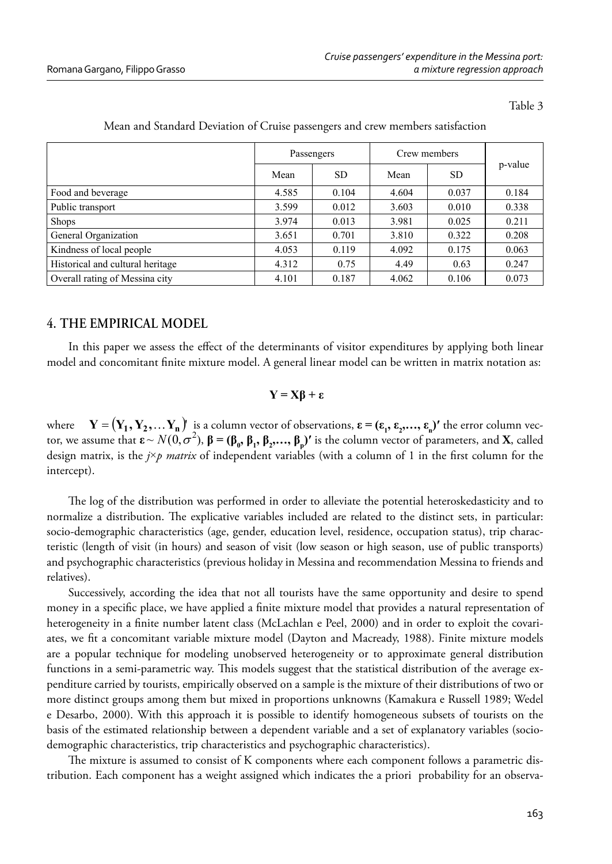Table 3

|                                  | Passengers |       | Crew members |           |         |
|----------------------------------|------------|-------|--------------|-----------|---------|
|                                  | Mean       | SD.   | Mean         | <b>SD</b> | p-value |
| Food and beverage                | 4.585      | 0.104 | 4.604        | 0.037     | 0.184   |
| Public transport                 | 3.599      | 0.012 | 3.603        | 0.010     | 0.338   |
| <b>Shops</b>                     | 3.974      | 0.013 | 3.981        | 0.025     | 0.211   |
| General Organization             | 3.651      | 0.701 | 3.810        | 0.322     | 0.208   |
| Kindness of local people         | 4.053      | 0.119 | 4.092        | 0.175     | 0.063   |
| Historical and cultural heritage | 4.312      | 0.75  | 4.49         | 0.63      | 0.247   |
| Overall rating of Messina city   | 4.101      | 0.187 | 4.062        | 0.106     | 0.073   |

#### Mean and Standard Deviation of Cruise passengers and crew members satisfaction

## **4. THE EMPIRICAL MODEL**

In this paper we assess the effect of the determinants of visitor expenditures by applying both linear model and concomitant finite mixture model. A general linear model can be written in matrix notation as:

## **Y = Xβ + ε**

where  $\mathbf{Y} = (\mathbf{Y}_1, \mathbf{Y}_2, \dots \mathbf{Y}_n)$  is a column vector of observations,  $\boldsymbol{\epsilon} = (\epsilon_1, \epsilon_2, \dots, \epsilon_n)$  the error column vector, we assume that  $\epsilon \sim N(0, \sigma^2)$ ,  $\beta = (\beta_0, \beta_1, \beta_2, \ldots, \beta_p)'$  is the column vector of parameters, and **X**, called design matrix, is the  $j\times p$  matrix of independent variables (with a column of 1 in the first column for the intercept).

The log of the distribution was performed in order to alleviate the potential heteroskedasticity and to normalize a distribution. The explicative variables included are related to the distinct sets, in particular: socio-demographic characteristics (age, gender, education level, residence, occupation status), trip characteristic (length of visit (in hours) and season of visit (low season or high season, use of public transports) and psychographic characteristics (previous holiday in Messina and recommendation Messina to friends and relatives).

Successively, according the idea that not all tourists have the same opportunity and desire to spend money in a specific place, we have applied a finite mixture model that provides a natural representation of heterogeneity in a finite number latent class (McLachlan e Peel, 2000) and in order to exploit the covariates, we fit a concomitant variable mixture model (Dayton and Macready, 1988). Finite mixture models are a popular technique for modeling unobserved heterogeneity or to approximate general distribution functions in a semi-parametric way. This models suggest that the statistical distribution of the average expenditure carried by tourists, empirically observed on a sample is the mixture of their distributions of two or more distinct groups among them but mixed in proportions unknowns (Kamakura e Russell 1989; Wedel e Desarbo, 2000). With this approach it is possible to identify homogeneous subsets of tourists on the basis of the estimated relationship between a dependent variable and a set of explanatory variables (sociodemographic characteristics, trip characteristics and psychographic characteristics).

The mixture is assumed to consist of K components where each component follows a parametric distribution. Each component has a weight assigned which indicates the a priori probability for an observa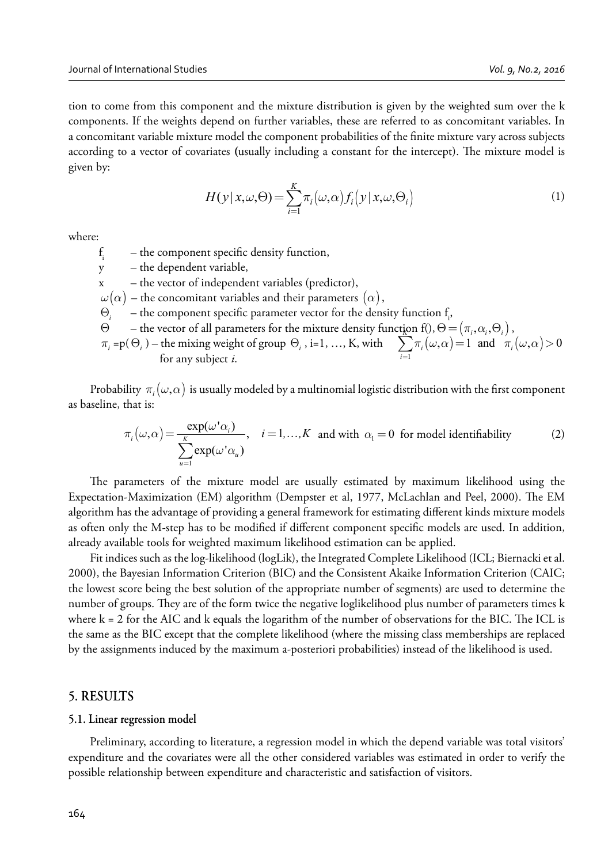tion to come from this component and the mixture distribution is given by the weighted sum over the k components. If the weights depend on further variables, these are referred to as concomitant variables. In a concomitant variable mixture model the component probabilities of the finite mixture vary across subjects according to a vector of covariates (usually including a constant for the intercept). The mixture model is given by:

$$
H(y|x,\omega,\Theta) = \sum_{i=1}^{K} \pi_i(\omega,\alpha) f_i(y|x,\omega,\Theta_i)
$$
 (1)

where:

f i – the component specific density function,

y – the dependent variable,

x – the vector of independent variables (predictor),

- $\omega(\alpha)$  the concomitant variables and their parameters  $(\alpha)$ ,
- $\Theta_i$  the component specific parameter vector for the density function  $f_i$ ,
- $\Theta$  the vector of all parameters for the mixture density funct<u>io</u>n f(),  $\Theta = (\pi_i, \alpha_i, \Theta_i)$ ,
- $\pi_i = p(\Theta_i)$  the mixing weight of group  $\Theta_i$ , i=1, …, K, with  $\sum_{i=1} \pi_i(\omega, \alpha) = 1$  and  $\pi_i(\omega, \alpha)$  for any subject *i*  $\sum_{i=1} \pi_i(\omega, \alpha) = 1$  and  $\pi_i(\omega, \alpha) > 0$  $\pi_i(\omega,\alpha) = 1$  and  $\pi_i(\omega,\alpha)$  $\sum_{i=1} \pi_i(\omega,\alpha) = 1$  and  $\pi_i(\omega,\alpha)$ for any subject *i*.

Probability  $\pi_i(\omega,\alpha)$  is usually modeled by a multinomial logistic distribution with the first component as baseline, that is:

$$
\pi_i(\omega,\alpha) = \frac{\exp(\omega' \alpha_i)}{\sum_{u=1}^K \exp(\omega' \alpha_u)}, \quad i = 1,\dots,K \text{ and with } \alpha_i = 0 \text{ for model identifiability} \tag{2}
$$

The parameters of the mixture model are usually estimated by maximum likelihood using the Expectation-Maximization (EM) algorithm (Dempster et al, 1977, McLachlan and Peel, 2000). The EM algorithm has the advantage of providing a general framework for estimating different kinds mixture models as often only the M-step has to be modified if different component specific models are used. In addition, already available tools for weighted maximum likelihood estimation can be applied.

Fit indices such as the log-likelihood (logLik), the Integrated Complete Likelihood (ICL; Biernacki et al. 2000), the Bayesian Information Criterion (BIC) and the Consistent Akaike Information Criterion (CAIC; the lowest score being the best solution of the appropriate number of segments) are used to determine the number of groups. They are of the form twice the negative loglikelihood plus number of parameters times k where  $k = 2$  for the AIC and k equals the logarithm of the number of observations for the BIC. The ICL is the same as the BIC except that the complete likelihood (where the missing class memberships are replaced by the assignments induced by the maximum a-posteriori probabilities) instead of the likelihood is used.

#### **5. RESULTS**

#### **5.1. Linear regression model**

Preliminary, according to literature, a regression model in which the depend variable was total visitors' expenditure and the covariates were all the other considered variables was estimated in order to verify the possible relationship between expenditure and characteristic and satisfaction of visitors.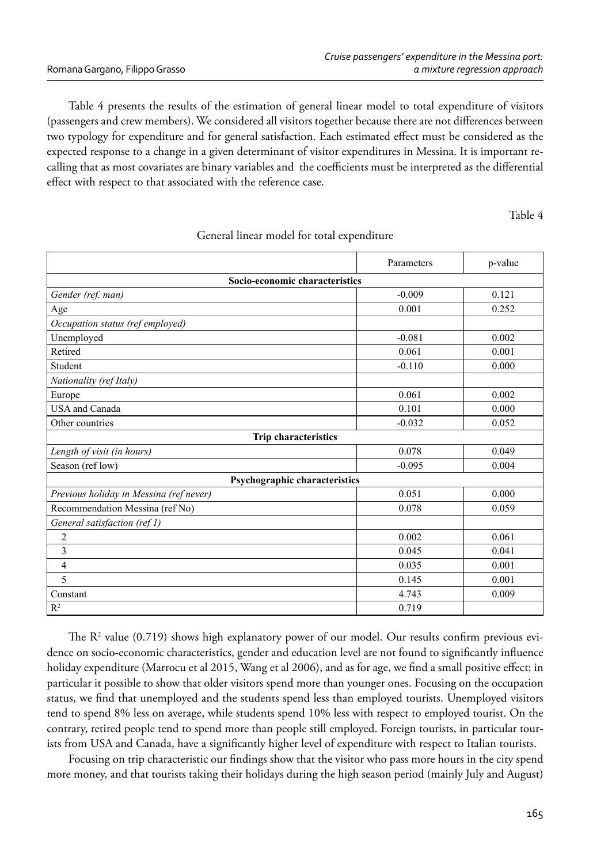Table 4 presents the results of the estimation of general linear model to total expenditure of visitors (passengers and crew members). We considered all visitors together because there are not differences between two typology for expenditure and for general satisfaction. Each estimated effect must be considered as the expected response to a change in a given determinant of visitor expenditures in Messina. It is important recalling that as most covariates are binary variables and the coefficients must be interpreted as the differential effect with respect to that associated with the reference case.

Table 4

|                                         | Parameters | p-value |  |  |
|-----------------------------------------|------------|---------|--|--|
| Socio-economic characteristics          |            |         |  |  |
| Gender (ref. man)                       | $-0.009$   | 0.121   |  |  |
| Age                                     | 0.001      | 0.252   |  |  |
| Occupation status (ref employed)        |            |         |  |  |
| Unemployed                              | $-0.081$   | 0.002   |  |  |
| Retired                                 | 0.061      | 0.001   |  |  |
| Student                                 | $-0.110$   | 0.000   |  |  |
| Nationality (ref Italy)                 |            |         |  |  |
| Europe                                  | 0.061      | 0.002   |  |  |
| <b>USA</b> and Canada                   | 0.101      | 0.000   |  |  |
| Other countries                         | $-0.032$   | 0.052   |  |  |
| <b>Trip characteristics</b>             |            |         |  |  |
| Length of visit (in hours)              | 0.078      | 0.049   |  |  |
| Season (ref low)                        | $-0.095$   | 0.004   |  |  |
| Psychographic characteristics           |            |         |  |  |
| Previous holiday in Messina (ref never) | 0.051      | 0.000   |  |  |
| Recommendation Messina (ref No)         | 0.078      | 0.059   |  |  |
| General satisfaction (ref 1)            |            |         |  |  |
| $\overline{2}$                          | 0.002      | 0.061   |  |  |
| 3                                       | 0.045      | 0.041   |  |  |
| 4                                       | 0.035      | 0.001   |  |  |
| 5                                       | 0.145      | 0.001   |  |  |
| Constant                                | 4.743      | 0.009   |  |  |
| R <sup>2</sup>                          | 0.719      |         |  |  |

#### General linear model for total expenditure

The  $R^2$  value (0.719) shows high explanatory power of our model. Our results confirm previous evidence on socio-economic characteristics, gender and education level are not found to significantly influence holiday expenditure (Marrocu et al 2015, Wang et al 2006), and as for age, we find a small positive effect; in particular it possible to show that older visitors spend more than younger ones. Focusing on the occupation status, we find that unemployed and the students spend less than employed tourists. Unemployed visitors tend to spend 8% less on average, while students spend 10% less with respect to employed tourist. On the contrary, retired people tend to spend more than people still employed. Foreign tourists, in particular tourists from USA and Canada, have a significantly higher level of expenditure with respect to Italian tourists.

Focusing on trip characteristic our findings show that the visitor who pass more hours in the city spend more money, and that tourists taking their holidays during the high season period (mainly July and August)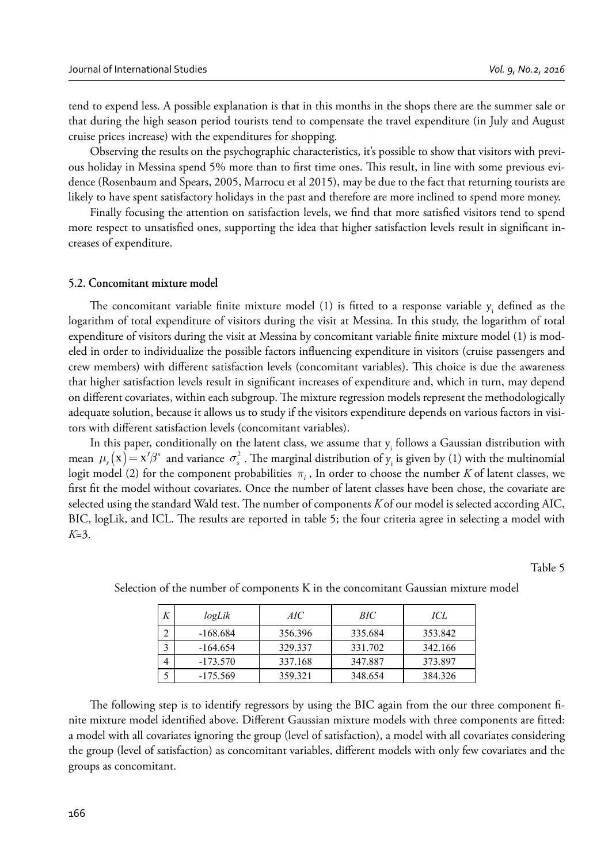tend to expend less. A possible explanation is that in this months in the shops there are the summer sale or that during the high season period tourists tend to compensate the travel expenditure (in July and August cruise prices increase) with the expenditures for shopping.

Observing the results on the psychographic characteristics, it's possible to show that visitors with previous holiday in Messina spend 5% more than to first time ones. This result, in line with some previous evidence (Rosenbaum and Spears, 2005, Marrocu et al 2015), may be due to the fact that returning tourists are likely to have spent satisfactory holidays in the past and therefore are more inclined to spend more money.

Finally focusing the attention on satisfaction levels, we find that more satisfied visitors tend to spend more respect to unsatisfied ones, supporting the idea that higher satisfaction levels result in significant increases of expenditure.

#### **5.2. Concomitant mixture model**

The concomitant variable finite mixture model (1) is fitted to a response variable  $y_i$  defined as the logarithm of total expenditure of visitors during the visit at Messina. In this study, the logarithm of total expenditure of visitors during the visit at Messina by concomitant variable finite mixture model (1) is modeled in order to individualize the possible factors influencing expenditure in visitors (cruise passengers and crew members) with different satisfaction levels (concomitant variables). This choice is due the awareness that higher satisfaction levels result in significant increases of expenditure and, which in turn, may depend on different covariates, within each subgroup. The mixture regression models represent the methodologically adequate solution, because it allows us to study if the visitors expenditure depends on various factors in visitors with different satisfaction levels (concomitant variables).

In this paper, conditionally on the latent class, we assume that  $y_i$  follows a Gaussian distribution with mean  $\mu_s(x) = x'\beta^s$  and variance  $\sigma_s^2$ . The marginal distribution of  $y_i$  is given by (1) with the multinomial logit model (2) for the component probabilities  $\pi$ <sub>*i*</sub>, In order to choose the number *K* of latent classes, we first fit the model without covariates. Once the number of latent classes have been chose, the covariate are selected using the standard Wald test. The number of components *K* of our model is selected according AIC, BIC, logLik, and ICL. The results are reported in table 5; the four criteria agree in selecting a model with *K*=3.

Table 5

| Κ | logLik     | AIC.    | BIC     | ICL     |
|---|------------|---------|---------|---------|
|   | -168.684   | 356.396 | 335.684 | 353.842 |
|   | $-164.654$ | 329.337 | 331.702 | 342.166 |
|   | $-173.570$ | 337.168 | 347.887 | 373.897 |
|   | $-175.569$ | 359.321 | 348.654 | 384.326 |

Selection of the number of components K in the concomitant Gaussian mixture model

The following step is to identify regressors by using the BIC again from the our three component finite mixture model identified above. Different Gaussian mixture models with three components are fitted: a model with all covariates ignoring the group (level of satisfaction), a model with all covariates considering the group (level of satisfaction) as concomitant variables, different models with only few covariates and the groups as concomitant.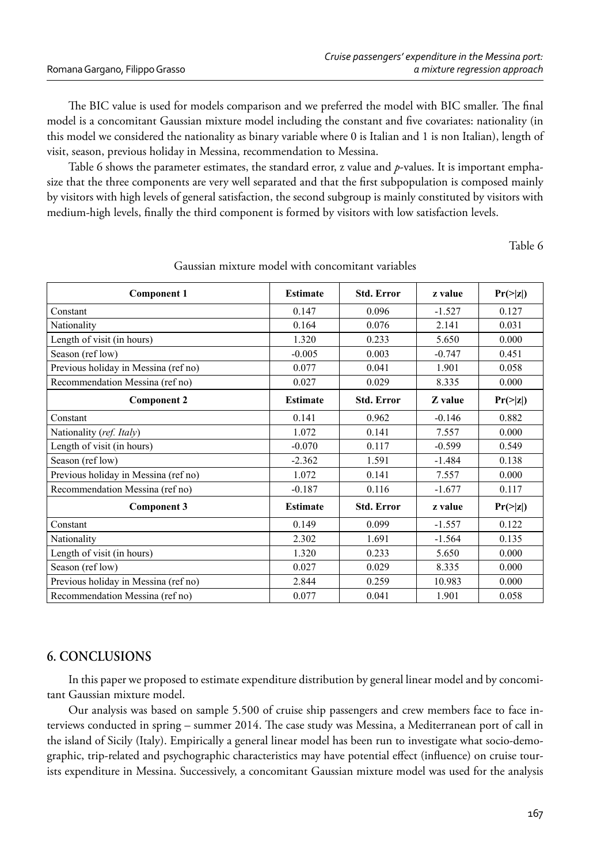The BIC value is used for models comparison and we preferred the model with BIC smaller. The final model is a concomitant Gaussian mixture model including the constant and five covariates: nationality (in this model we considered the nationality as binary variable where 0 is Italian and 1 is non Italian), length of visit, season, previous holiday in Messina, recommendation to Messina.

Table 6 shows the parameter estimates, the standard error, z value and *p*-values. It is important emphasize that the three components are very well separated and that the first subpopulation is composed mainly by visitors with high levels of general satisfaction, the second subgroup is mainly constituted by visitors with medium-high levels, finally the third component is formed by visitors with low satisfaction levels.

Table 6

| <b>Component 1</b>                   | <b>Estimate</b> | <b>Std. Error</b> | z value  | $Pr(\geq  z )$ |
|--------------------------------------|-----------------|-------------------|----------|----------------|
| Constant                             | 0.147           | 0.096             | $-1.527$ | 0.127          |
| Nationality                          | 0.164           | 0.076             | 2.141    | 0.031          |
| Length of visit (in hours)           | 1.320           | 0.233             | 5.650    | 0.000          |
| Season (ref low)                     | $-0.005$        | 0.003             | $-0.747$ | 0.451          |
| Previous holiday in Messina (ref no) | 0.077           | 0.041             | 1.901    | 0.058          |
| Recommendation Messina (ref no)      | 0.027           | 0.029             | 8.335    | 0.000          |
| <b>Component 2</b>                   | <b>Estimate</b> | <b>Std. Error</b> | Z value  | $Pr(\geq  z )$ |
| Constant                             | 0.141           | 0.962             | $-0.146$ | 0.882          |
| Nationality (ref. Italy)             | 1.072           | 0.141             | 7.557    | 0.000          |
| Length of visit (in hours)           | $-0.070$        | 0.117             | $-0.599$ | 0.549          |
| Season (ref low)                     | $-2.362$        | 1.591             | $-1.484$ | 0.138          |
| Previous holiday in Messina (ref no) | 1.072           | 0.141             | 7.557    | 0.000          |
| Recommendation Messina (ref no)      | $-0.187$        | 0.116             | $-1.677$ | 0.117          |
| Component 3                          | <b>Estimate</b> | <b>Std. Error</b> | z value  | $Pr(\geq  z )$ |
| Constant                             | 0.149           | 0.099             | $-1.557$ | 0.122          |
| Nationality                          | 2.302           | 1.691             | $-1.564$ | 0.135          |
| Length of visit (in hours)           | 1.320           | 0.233             | 5.650    | 0.000          |
| Season (ref low)                     | 0.027           | 0.029             | 8.335    | 0.000          |
| Previous holiday in Messina (ref no) | 2.844           | 0.259             | 10.983   | 0.000          |
| Recommendation Messina (ref no)      | 0.077           | 0.041             | 1.901    | 0.058          |

Gaussian mixture model with concomitant variables

## **6. CONCLUSIONS**

In this paper we proposed to estimate expenditure distribution by general linear model and by concomitant Gaussian mixture model.

Our analysis was based on sample 5.500 of cruise ship passengers and crew members face to face interviews conducted in spring – summer 2014. The case study was Messina, a Mediterranean port of call in the island of Sicily (Italy). Empirically a general linear model has been run to investigate what socio-demographic, trip-related and psychographic characteristics may have potential effect (influence) on cruise tourists expenditure in Messina. Successively, a concomitant Gaussian mixture model was used for the analysis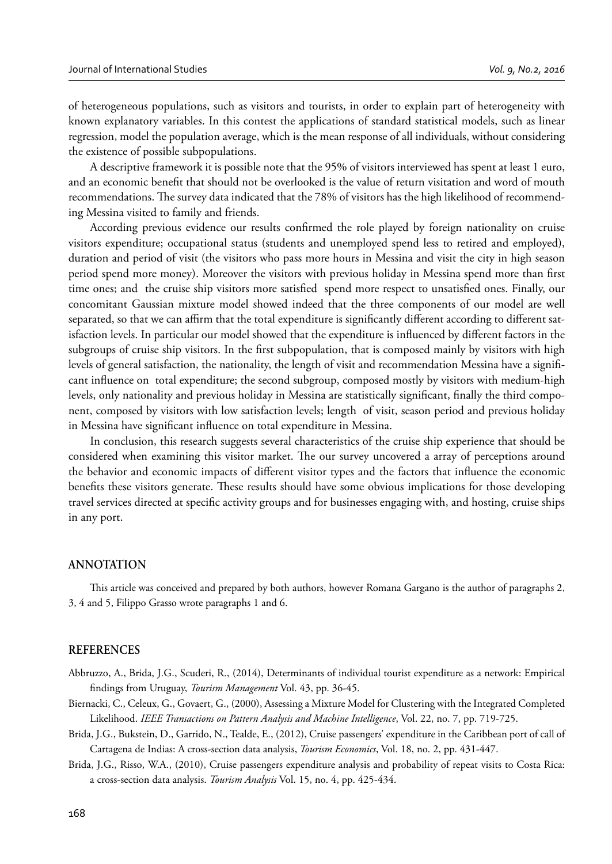of heterogeneous populations, such as visitors and tourists, in order to explain part of heterogeneity with known explanatory variables. In this contest the applications of standard statistical models, such as linear regression, model the population average, which is the mean response of all individuals, without considering the existence of possible subpopulations.

A descriptive framework it is possible note that the 95% of visitors interviewed has spent at least 1 euro, and an economic benefit that should not be overlooked is the value of return visitation and word of mouth recommendations. The survey data indicated that the 78% of visitors has the high likelihood of recommending Messina visited to family and friends.

According previous evidence our results confirmed the role played by foreign nationality on cruise visitors expenditure; occupational status (students and unemployed spend less to retired and employed), duration and period of visit (the visitors who pass more hours in Messina and visit the city in high season period spend more money). Moreover the visitors with previous holiday in Messina spend more than first time ones; and the cruise ship visitors more satisfied spend more respect to unsatisfied ones. Finally, our concomitant Gaussian mixture model showed indeed that the three components of our model are well separated, so that we can affirm that the total expenditure is significantly different according to different satisfaction levels. In particular our model showed that the expenditure is influenced by different factors in the subgroups of cruise ship visitors. In the first subpopulation, that is composed mainly by visitors with high levels of general satisfaction, the nationality, the length of visit and recommendation Messina have a significant influence on total expenditure; the second subgroup, composed mostly by visitors with medium-high levels, only nationality and previous holiday in Messina are statistically significant, finally the third component, composed by visitors with low satisfaction levels; length of visit, season period and previous holiday in Messina have significant influence on total expenditure in Messina.

In conclusion, this research suggests several characteristics of the cruise ship experience that should be considered when examining this visitor market. The our survey uncovered a array of perceptions around the behavior and economic impacts of different visitor types and the factors that influence the economic benefits these visitors generate. These results should have some obvious implications for those developing travel services directed at specific activity groups and for businesses engaging with, and hosting, cruise ships in any port.

#### **ANNOTATION**

This article was conceived and prepared by both authors, however Romana Gargano is the author of paragraphs 2, 3, 4 and 5, Filippo Grasso wrote paragraphs 1 and 6.

#### **REFERENCES**

Abbruzzo, A., Brida, J.G., Scuderi, R., (2014), Determinants of individual tourist expenditure as a network: Empirical fi ndings from Uruguay, *Tourism Management* Vol. 43, pp. 36-45.

- Biernacki, C., Celeux, G., Govaert, G., (2000), Assessing a Mixture Model for Clustering with the Integrated Completed Likelihood. *IEEE Transactions on Pattern Analysis and Machine Intelligence*, Vol. 22, no. 7, pp. 719-725.
- Brida, J.G., Bukstein, D., Garrido, N., Tealde, E., (2012), Cruise passengers' expenditure in the Caribbean port of call of Cartagena de Indias: A cross-section data analysis, *Tourism Economics*, Vol. 18, no. 2, pp. 431-447.
- Brida, J.G., Risso, W.A., (2010), Cruise passengers expenditure analysis and probability of repeat visits to Costa Rica: a cross-section data analysis. *Tourism Analysis* Vol. 15, no. 4, pp. 425-434.